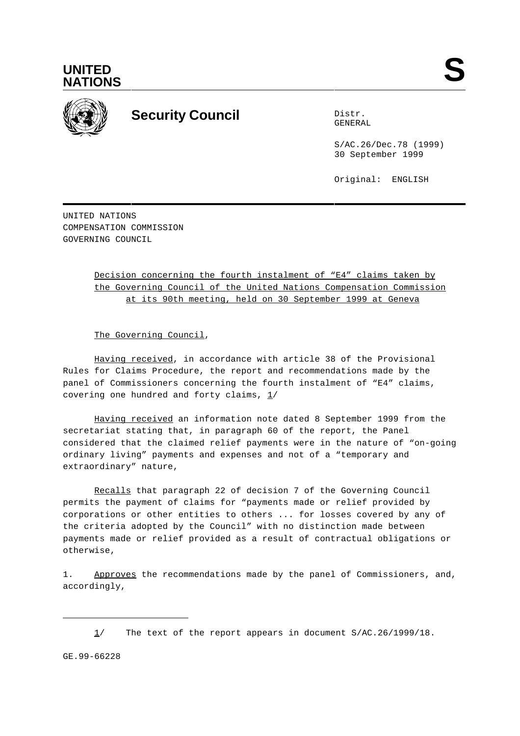



## **Security Council** Distribution Distribution

GENERAL

S/AC.26/Dec.78 (1999) 30 September 1999

Original: ENGLISH

UNITED NATIONS COMPENSATION COMMISSION GOVERNING COUNCIL

> Decision concerning the fourth instalment of "E4" claims taken by the Governing Council of the United Nations Compensation Commission at its 90th meeting, held on 30 September 1999 at Geneva

The Governing Council,

Having received, in accordance with article 38 of the Provisional Rules for Claims Procedure, the report and recommendations made by the panel of Commissioners concerning the fourth instalment of "E4" claims, covering one hundred and forty claims,  $1/$ 

Having received an information note dated 8 September 1999 from the secretariat stating that, in paragraph 60 of the report, the Panel considered that the claimed relief payments were in the nature of "on-going ordinary living" payments and expenses and not of a "temporary and extraordinary" nature,

Recalls that paragraph 22 of decision 7 of the Governing Council permits the payment of claims for "payments made or relief provided by corporations or other entities to others ... for losses covered by any of the criteria adopted by the Council" with no distinction made between payments made or relief provided as a result of contractual obligations or otherwise,

1. Approves the recommendations made by the panel of Commissioners, and, accordingly,

GE.99-66228

<sup>1/</sup> The text of the report appears in document S/AC.26/1999/18.